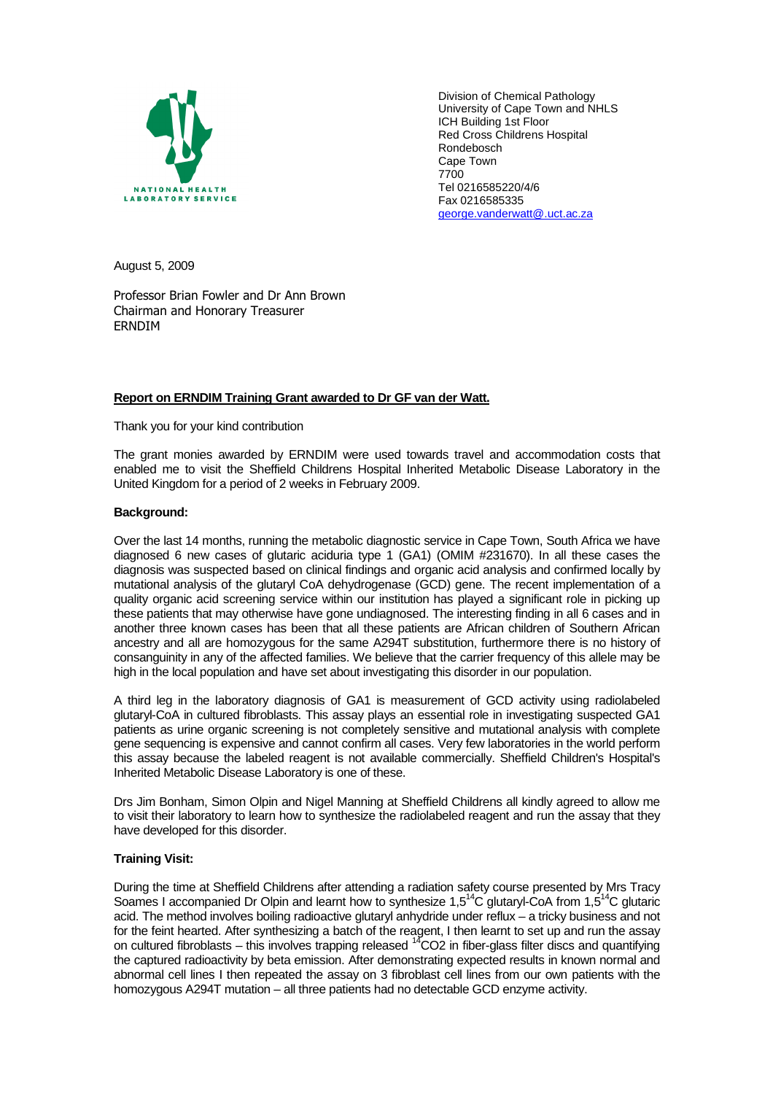

Division of Chemical Pathology University of Cape Town and NHLS ICH Building 1st Floor Red Cross Childrens Hospital Rondebosch Cape Town 7700 Tel 0216585220/4/6 Fax 0216585335 george.vanderwatt@.uct.ac.za

August 5, 2009

Professor Brian Fowler and Dr Ann Brown Chairman and Honorary Treasurer ERNDIM

## **Report on ERNDIM Training Grant awarded to Dr GF van der Watt.**

Thank you for your kind contribution

The grant monies awarded by ERNDIM were used towards travel and accommodation costs that enabled me to visit the Sheffield Childrens Hospital Inherited Metabolic Disease Laboratory in the United Kingdom for a period of 2 weeks in February 2009.

## **Background:**

Over the last 14 months, running the metabolic diagnostic service in Cape Town, South Africa we have diagnosed 6 new cases of glutaric aciduria type 1 (GA1) (OMIM #231670). In all these cases the diagnosis was suspected based on clinical findings and organic acid analysis and confirmed locally by mutational analysis of the glutaryl CoA dehydrogenase (GCD) gene. The recent implementation of a quality organic acid screening service within our institution has played a significant role in picking up these patients that may otherwise have gone undiagnosed. The interesting finding in all 6 cases and in another three known cases has been that all these patients are African children of Southern African ancestry and all are homozygous for the same A294T substitution, furthermore there is no history of consanguinity in any of the affected families. We believe that the carrier frequency of this allele may be high in the local population and have set about investigating this disorder in our population.

A third leg in the laboratory diagnosis of GA1 is measurement of GCD activity using radiolabeled glutaryl-CoA in cultured fibroblasts. This assay plays an essential role in investigating suspected GA1 patients as urine organic screening is not completely sensitive and mutational analysis with complete gene sequencing is expensive and cannot confirm all cases. Very few laboratories in the world perform this assay because the labeled reagent is not available commercially. Sheffield Children's Hospital's Inherited Metabolic Disease Laboratory is one of these.

Drs Jim Bonham, Simon Olpin and Nigel Manning at Sheffield Childrens all kindly agreed to allow me to visit their laboratory to learn how to synthesize the radiolabeled reagent and run the assay that they have developed for this disorder.

# **Training Visit:**

During the time at Sheffield Childrens after attending a radiation safety course presented by Mrs Tracy Soames I accompanied Dr Olpin and learnt how to synthesize 1,5<sup>14</sup>C glutaryl-CoA from 1,5<sup>14</sup>C glutaric acid. The method involves boiling radioactive glutaryl anhydride under reflux – a tricky business and not for the feint hearted. After synthesizing a batch of the reagent, I then learnt to set up and run the assay on cultured fibroblasts – this involves trapping released  $^{14}CO2$  in fiber-glass filter discs and quantifying the captured radioactivity by beta emission. After demonstrating expected results in known normal and abnormal cell lines I then repeated the assay on 3 fibroblast cell lines from our own patients with the homozygous A294T mutation – all three patients had no detectable GCD enzyme activity.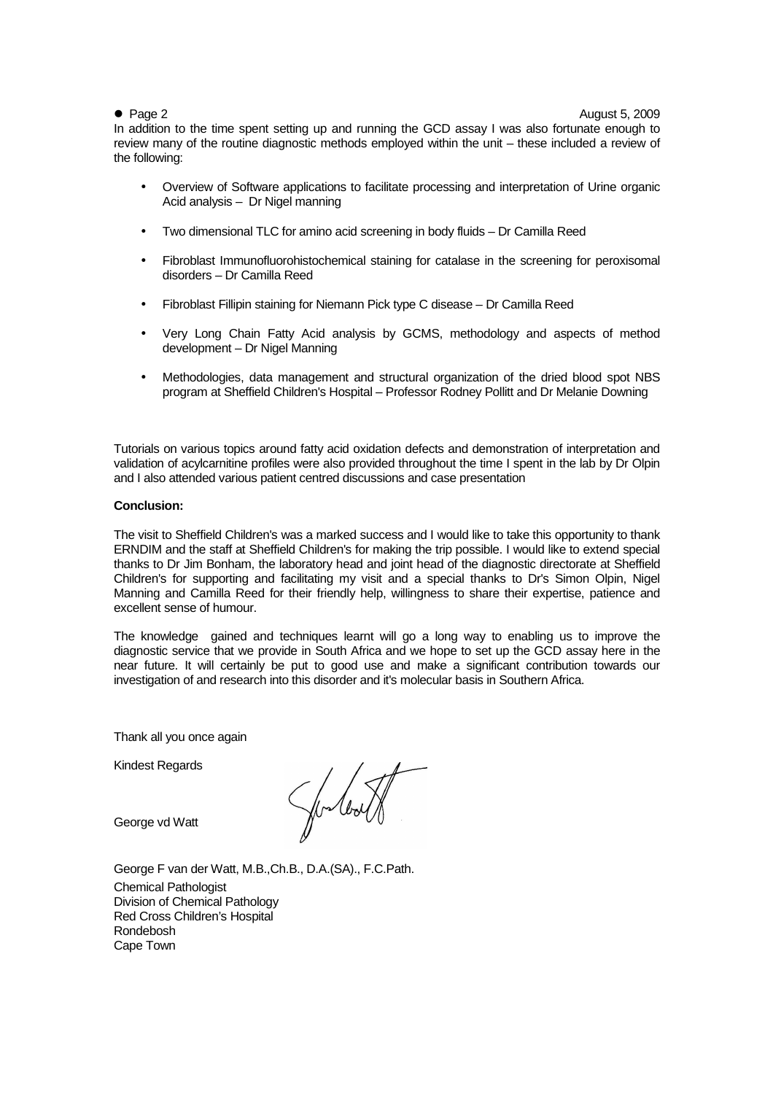● Page 2 August 5, 2009

In addition to the time spent setting up and running the GCD assay I was also fortunate enough to review many of the routine diagnostic methods employed within the unit – these included a review of the following:

- Overview of Software applications to facilitate processing and interpretation of Urine organic Acid analysis – Dr Nigel manning
- Two dimensional TLC for amino acid screening in body fluids Dr Camilla Reed
- Fibroblast Immunofluorohistochemical staining for catalase in the screening for peroxisomal disorders – Dr Camilla Reed
- Fibroblast Fillipin staining for Niemann Pick type C disease Dr Camilla Reed
- Very Long Chain Fatty Acid analysis by GCMS, methodology and aspects of method development – Dr Nigel Manning
- Methodologies, data management and structural organization of the dried blood spot NBS program at Sheffield Children's Hospital – Professor Rodney Pollitt and Dr Melanie Downing

Tutorials on various topics around fatty acid oxidation defects and demonstration of interpretation and validation of acylcarnitine profiles were also provided throughout the time I spent in the lab by Dr Olpin and I also attended various patient centred discussions and case presentation

### **Conclusion:**

The visit to Sheffield Children's was a marked success and I would like to take this opportunity to thank ERNDIM and the staff at Sheffield Children's for making the trip possible. I would like to extend special thanks to Dr Jim Bonham, the laboratory head and joint head of the diagnostic directorate at Sheffield Children's for supporting and facilitating my visit and a special thanks to Dr's Simon Olpin, Nigel Manning and Camilla Reed for their friendly help, willingness to share their expertise, patience and excellent sense of humour.

The knowledge gained and techniques learnt will go a long way to enabling us to improve the diagnostic service that we provide in South Africa and we hope to set up the GCD assay here in the near future. It will certainly be put to good use and make a significant contribution towards our investigation of and research into this disorder and it's molecular basis in Southern Africa.

Thank all you once again

Kindest Regards

George vd Watt

George F van der Watt, M.B.,Ch.B., D.A.(SA)., F.C.Path. Chemical Pathologist Division of Chemical Pathology Red Cross Children's Hospital Rondebosh Cape Town